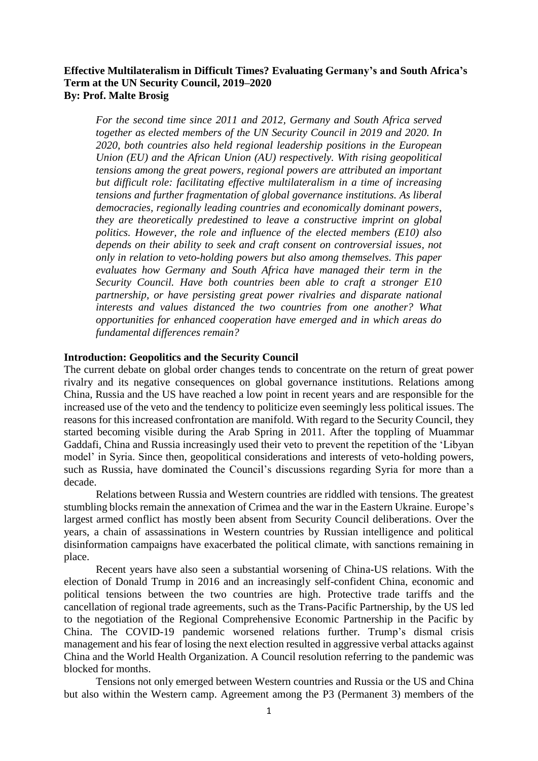# **Effective Multilateralism in Difficult Times? Evaluating Germany's and South Africa's Term at the UN Security Council, 2019–2020 By: Prof. Malte Brosig**

*For the second time since 2011 and 2012, Germany and South Africa served together as elected members of the UN Security Council in 2019 and 2020. In 2020, both countries also held regional leadership positions in the European Union (EU) and the African Union (AU) respectively. With rising geopolitical tensions among the great powers, regional powers are attributed an important but difficult role: facilitating effective multilateralism in a time of increasing tensions and further fragmentation of global governance institutions. As liberal democracies, regionally leading countries and economically dominant powers, they are theoretically predestined to leave a constructive imprint on global politics. However, the role and influence of the elected members (E10) also depends on their ability to seek and craft consent on controversial issues, not only in relation to veto-holding powers but also among themselves. This paper evaluates how Germany and South Africa have managed their term in the Security Council. Have both countries been able to craft a stronger E10 partnership, or have persisting great power rivalries and disparate national interests and values distanced the two countries from one another? What opportunities for enhanced cooperation have emerged and in which areas do fundamental differences remain?* 

## **Introduction: Geopolitics and the Security Council**

The current debate on global order changes tends to concentrate on the return of great power rivalry and its negative consequences on global governance institutions. Relations among China, Russia and the US have reached a low point in recent years and are responsible for the increased use of the veto and the tendency to politicize even seemingly less political issues. The reasons for this increased confrontation are manifold. With regard to the Security Council, they started becoming visible during the Arab Spring in 2011. After the toppling of Muammar Gaddafi, China and Russia increasingly used their veto to prevent the repetition of the 'Libyan model' in Syria. Since then, geopolitical considerations and interests of veto-holding powers, such as Russia, have dominated the Council's discussions regarding Syria for more than a decade.

Relations between Russia and Western countries are riddled with tensions. The greatest stumbling blocks remain the annexation of Crimea and the war in the Eastern Ukraine. Europe's largest armed conflict has mostly been absent from Security Council deliberations. Over the years, a chain of assassinations in Western countries by Russian intelligence and political disinformation campaigns have exacerbated the political climate, with sanctions remaining in place.

Recent years have also seen a substantial worsening of China-US relations. With the election of Donald Trump in 2016 and an increasingly self-confident China, economic and political tensions between the two countries are high. Protective trade tariffs and the cancellation of regional trade agreements, such as the Trans-Pacific Partnership, by the US led to the negotiation of the Regional Comprehensive Economic Partnership in the Pacific by China. The COVID-19 pandemic worsened relations further. Trump's dismal crisis management and his fear of losing the next election resulted in aggressive verbal attacks against China and the World Health Organization. A Council resolution referring to the pandemic was blocked for months.

Tensions not only emerged between Western countries and Russia or the US and China but also within the Western camp. Agreement among the P3 (Permanent 3) members of the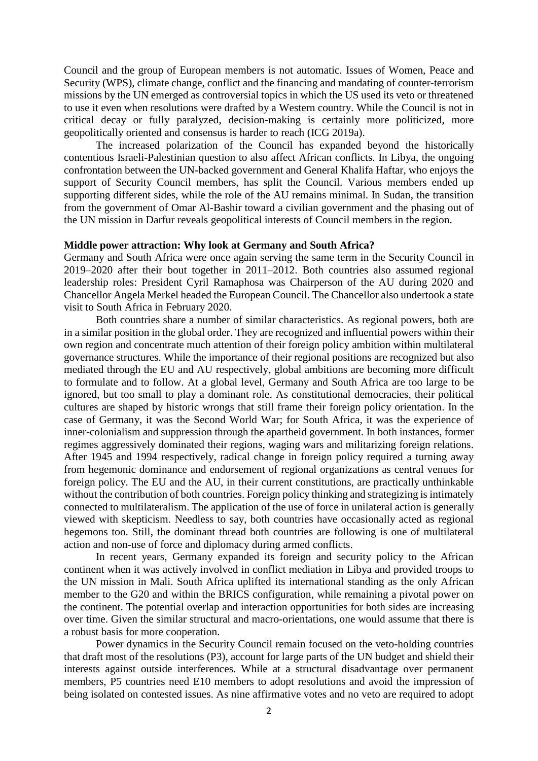Council and the group of European members is not automatic. Issues of Women, Peace and Security (WPS), climate change, conflict and the financing and mandating of counter-terrorism missions by the UN emerged as controversial topics in which the US used its veto or threatened to use it even when resolutions were drafted by a Western country. While the Council is not in critical decay or fully paralyzed, decision-making is certainly more politicized, more geopolitically oriented and consensus is harder to reach (ICG 2019a).

The increased polarization of the Council has expanded beyond the historically contentious Israeli-Palestinian question to also affect African conflicts. In Libya, the ongoing confrontation between the UN-backed government and General Khalifa Haftar, who enjoys the support of Security Council members, has split the Council. Various members ended up supporting different sides, while the role of the AU remains minimal. In Sudan, the transition from the government of Omar Al-Bashir toward a civilian government and the phasing out of the UN mission in Darfur reveals geopolitical interests of Council members in the region.

## **Middle power attraction: Why look at Germany and South Africa?**

Germany and South Africa were once again serving the same term in the Security Council in 2019–2020 after their bout together in 2011–2012. Both countries also assumed regional leadership roles: President Cyril Ramaphosa was Chairperson of the AU during 2020 and Chancellor Angela Merkel headed the European Council. The Chancellor also undertook a state visit to South Africa in February 2020.

Both countries share a number of similar characteristics. As regional powers, both are in a similar position in the global order. They are recognized and influential powers within their own region and concentrate much attention of their foreign policy ambition within multilateral governance structures. While the importance of their regional positions are recognized but also mediated through the EU and AU respectively, global ambitions are becoming more difficult to formulate and to follow. At a global level, Germany and South Africa are too large to be ignored, but too small to play a dominant role. As constitutional democracies, their political cultures are shaped by historic wrongs that still frame their foreign policy orientation. In the case of Germany, it was the Second World War; for South Africa, it was the experience of inner-colonialism and suppression through the apartheid government. In both instances, former regimes aggressively dominated their regions, waging wars and militarizing foreign relations. After 1945 and 1994 respectively, radical change in foreign policy required a turning away from hegemonic dominance and endorsement of regional organizations as central venues for foreign policy. The EU and the AU, in their current constitutions, are practically unthinkable without the contribution of both countries. Foreign policy thinking and strategizing is intimately connected to multilateralism. The application of the use of force in unilateral action is generally viewed with skepticism. Needless to say, both countries have occasionally acted as regional hegemons too. Still, the dominant thread both countries are following is one of multilateral action and non-use of force and diplomacy during armed conflicts.

In recent years, Germany expanded its foreign and security policy to the African continent when it was actively involved in conflict mediation in Libya and provided troops to the UN mission in Mali. South Africa uplifted its international standing as the only African member to the G20 and within the BRICS configuration, while remaining a pivotal power on the continent. The potential overlap and interaction opportunities for both sides are increasing over time. Given the similar structural and macro-orientations, one would assume that there is a robust basis for more cooperation.

Power dynamics in the Security Council remain focused on the veto-holding countries that draft most of the resolutions (P3), account for large parts of the UN budget and shield their interests against outside interferences. While at a structural disadvantage over permanent members, P5 countries need E10 members to adopt resolutions and avoid the impression of being isolated on contested issues. As nine affirmative votes and no veto are required to adopt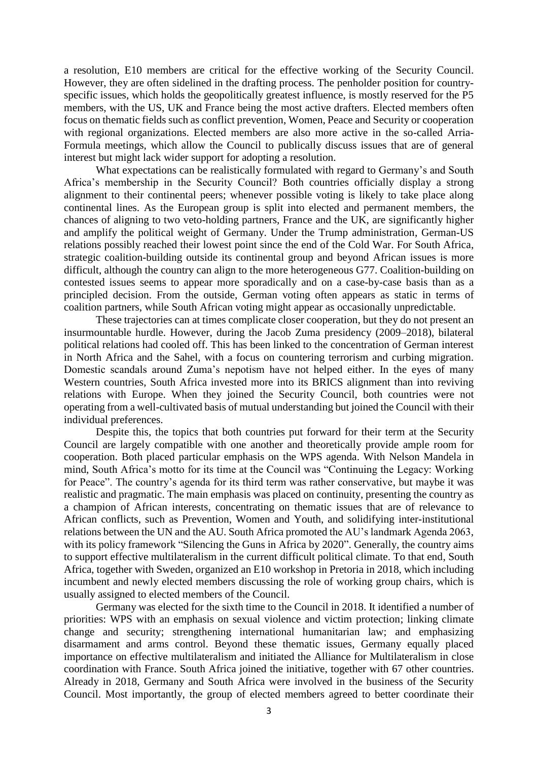a resolution, E10 members are critical for the effective working of the Security Council. However, they are often sidelined in the drafting process. The penholder position for countryspecific issues, which holds the geopolitically greatest influence, is mostly reserved for the P5 members, with the US, UK and France being the most active drafters. Elected members often focus on thematic fields such as conflict prevention, Women, Peace and Security or cooperation with regional organizations. Elected members are also more active in the so-called Arria-Formula meetings, which allow the Council to publically discuss issues that are of general interest but might lack wider support for adopting a resolution.

What expectations can be realistically formulated with regard to Germany's and South Africa's membership in the Security Council? Both countries officially display a strong alignment to their continental peers; whenever possible voting is likely to take place along continental lines. As the European group is split into elected and permanent members, the chances of aligning to two veto-holding partners, France and the UK, are significantly higher and amplify the political weight of Germany. Under the Trump administration, German-US relations possibly reached their lowest point since the end of the Cold War. For South Africa, strategic coalition-building outside its continental group and beyond African issues is more difficult, although the country can align to the more heterogeneous G77. Coalition-building on contested issues seems to appear more sporadically and on a case-by-case basis than as a principled decision. From the outside, German voting often appears as static in terms of coalition partners, while South African voting might appear as occasionally unpredictable.

These trajectories can at times complicate closer cooperation, but they do not present an insurmountable hurdle. However, during the Jacob Zuma presidency (2009–2018), bilateral political relations had cooled off. This has been linked to the concentration of German interest in North Africa and the Sahel, with a focus on countering terrorism and curbing migration. Domestic scandals around Zuma's nepotism have not helped either. In the eyes of many Western countries, South Africa invested more into its BRICS alignment than into reviving relations with Europe. When they joined the Security Council, both countries were not operating from a well-cultivated basis of mutual understanding but joined the Council with their individual preferences.

Despite this, the topics that both countries put forward for their term at the Security Council are largely compatible with one another and theoretically provide ample room for cooperation. Both placed particular emphasis on the WPS agenda. With Nelson Mandela in mind, South Africa's motto for its time at the Council was "Continuing the Legacy: Working for Peace". The country's agenda for its third term was rather conservative, but maybe it was realistic and pragmatic. The main emphasis was placed on continuity, presenting the country as a champion of African interests, concentrating on thematic issues that are of relevance to African conflicts, such as Prevention, Women and Youth, and solidifying inter-institutional relations between the UN and the AU. South Africa promoted the AU's landmark Agenda 2063, with its policy framework "Silencing the Guns in Africa by 2020". Generally, the country aims to support effective multilateralism in the current difficult political climate. To that end, South Africa, together with Sweden, organized an E10 workshop in Pretoria in 2018, which including incumbent and newly elected members discussing the role of working group chairs, which is usually assigned to elected members of the Council.

Germany was elected for the sixth time to the Council in 2018. It identified a number of priorities: WPS with an emphasis on sexual violence and victim protection; linking climate change and security; strengthening international humanitarian law; and emphasizing disarmament and arms control. Beyond these thematic issues, Germany equally placed importance on effective multilateralism and initiated the Alliance for Multilateralism in close coordination with France. South Africa joined the initiative, together with 67 other countries. Already in 2018, Germany and South Africa were involved in the business of the Security Council. Most importantly, the group of elected members agreed to better coordinate their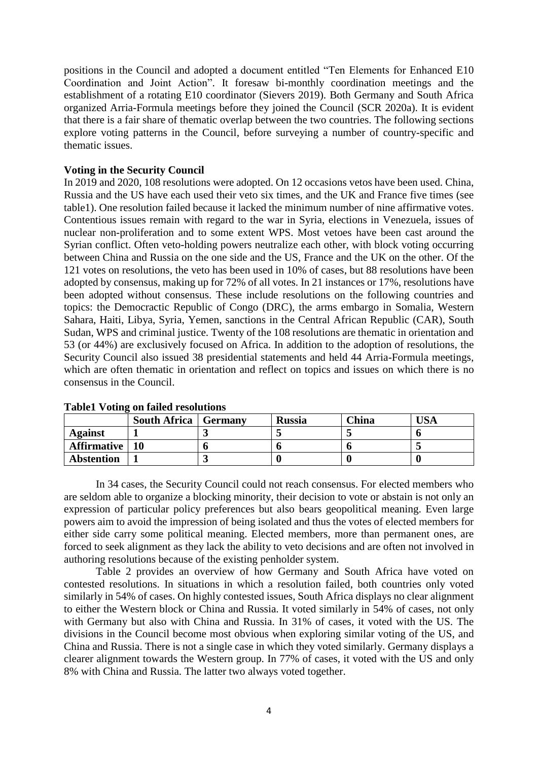positions in the Council and adopted a document entitled "Ten Elements for Enhanced E10 Coordination and Joint Action". It foresaw bi-monthly coordination meetings and the establishment of a rotating E10 coordinator (Sievers 2019). Both Germany and South Africa organized Arria-Formula meetings before they joined the Council (SCR 2020a). It is evident that there is a fair share of thematic overlap between the two countries. The following sections explore voting patterns in the Council, before surveying a number of country-specific and thematic issues.

## **Voting in the Security Council**

In 2019 and 2020, 108 resolutions were adopted. On 12 occasions vetos have been used. China, Russia and the US have each used their veto six times, and the UK and France five times (see table1). One resolution failed because it lacked the minimum number of nine affirmative votes. Contentious issues remain with regard to the war in Syria, elections in Venezuela, issues of nuclear non-proliferation and to some extent WPS. Most vetoes have been cast around the Syrian conflict. Often veto-holding powers neutralize each other, with block voting occurring between China and Russia on the one side and the US, France and the UK on the other. Of the 121 votes on resolutions, the veto has been used in 10% of cases, but 88 resolutions have been adopted by consensus, making up for 72% of all votes. In 21 instances or 17%, resolutions have been adopted without consensus. These include resolutions on the following countries and topics: the Democractic Republic of Congo (DRC), the arms embargo in Somalia, Western Sahara, Haiti, Libya, Syria, Yemen, sanctions in the Central African Republic (CAR), South Sudan, WPS and criminal justice. Twenty of the 108 resolutions are thematic in orientation and 53 (or 44%) are exclusively focused on Africa. In addition to the adoption of resolutions, the Security Council also issued 38 presidential statements and held 44 Arria-Formula meetings, which are often thematic in orientation and reflect on topics and issues on which there is no consensus in the Council.

|                   | <b>South Africa</b>   Germany | <b>Russia</b> | China | <b>JSA</b> |
|-------------------|-------------------------------|---------------|-------|------------|
| <b>Against</b>    |                               |               |       |            |
| Affirmative   10  |                               |               |       |            |
| <b>Abstention</b> |                               |               |       |            |

## **Table1 Voting on failed resolutions**

In 34 cases, the Security Council could not reach consensus. For elected members who are seldom able to organize a blocking minority, their decision to vote or abstain is not only an expression of particular policy preferences but also bears geopolitical meaning. Even large powers aim to avoid the impression of being isolated and thus the votes of elected members for either side carry some political meaning. Elected members, more than permanent ones, are forced to seek alignment as they lack the ability to veto decisions and are often not involved in authoring resolutions because of the existing penholder system.

Table 2 provides an overview of how Germany and South Africa have voted on contested resolutions. In situations in which a resolution failed, both countries only voted similarly in 54% of cases. On highly contested issues, South Africa displays no clear alignment to either the Western block or China and Russia. It voted similarly in 54% of cases, not only with Germany but also with China and Russia. In 31% of cases, it voted with the US. The divisions in the Council become most obvious when exploring similar voting of the US, and China and Russia. There is not a single case in which they voted similarly. Germany displays a clearer alignment towards the Western group. In 77% of cases, it voted with the US and only 8% with China and Russia. The latter two always voted together.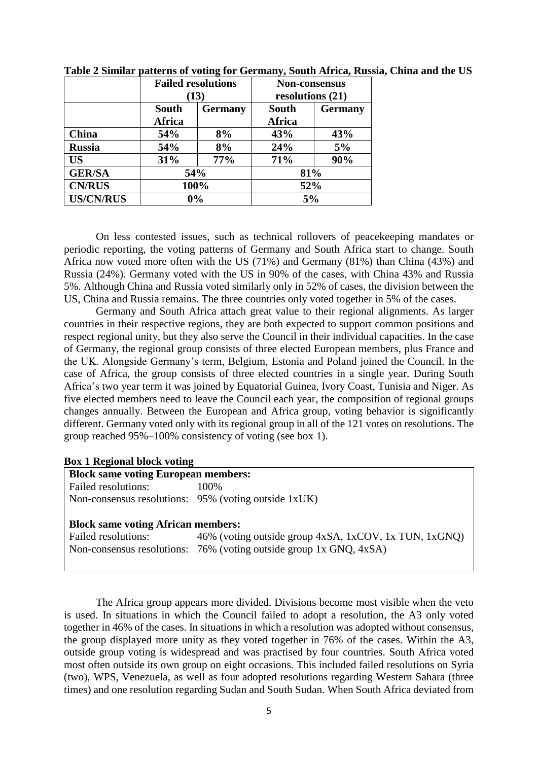|                  |                 | <b>Failed resolutions</b><br>(13) | <b>Non-consensus</b><br>resolutions $(21)$ |                |  |
|------------------|-----------------|-----------------------------------|--------------------------------------------|----------------|--|
|                  | South<br>Africa | <b>Germany</b>                    | South<br>Africa                            | <b>Germany</b> |  |
| China            | <b>54%</b>      | 8%                                | 43%                                        | 43%            |  |
| <b>Russia</b>    | 54%             | 8%                                | 24%                                        | 5%             |  |
| <b>US</b>        | 31%             | 77%                               | 71%                                        | 90%            |  |
| <b>GER/SA</b>    | 54%             |                                   | 81%                                        |                |  |
| <b>CN/RUS</b>    | 100%            |                                   | 52%                                        |                |  |
| <b>US/CN/RUS</b> |                 | 0%                                | 5%                                         |                |  |

**Table 2 Similar patterns of voting for Germany, South Africa, Russia, China and the US**

On less contested issues, such as technical rollovers of peacekeeping mandates or periodic reporting, the voting patterns of Germany and South Africa start to change. South Africa now voted more often with the US (71%) and Germany (81%) than China (43%) and Russia (24%). Germany voted with the US in 90% of the cases, with China 43% and Russia 5%. Although China and Russia voted similarly only in 52% of cases, the division between the US, China and Russia remains. The three countries only voted together in 5% of the cases.

Germany and South Africa attach great value to their regional alignments. As larger countries in their respective regions, they are both expected to support common positions and respect regional unity, but they also serve the Council in their individual capacities. In the case of Germany, the regional group consists of three elected European members, plus France and the UK. Alongside Germany's term, Belgium, Estonia and Poland joined the Council. In the case of Africa, the group consists of three elected countries in a single year. During South Africa's two year term it was joined by Equatorial Guinea, Ivory Coast, Tunisia and Niger. As five elected members need to leave the Council each year, the composition of regional groups changes annually. Between the European and Africa group, voting behavior is significantly different. Germany voted only with its regional group in all of the 121 votes on resolutions. The group reached 95%–100% consistency of voting (see box 1).

## **Box 1 Regional block voting**

| <b>Block same voting European members:</b> |                                                      |  |  |
|--------------------------------------------|------------------------------------------------------|--|--|
| Failed resolutions:                        | 100\%                                                |  |  |
|                                            | Non-consensus resolutions: 95% (voting outside 1xUK) |  |  |

## **Block same voting African members:**

Failed resolutions: 46% (voting outside group 4xSA, 1xCOV, 1x TUN, 1xGNQ) Non-consensus resolutions: 76% (voting outside group 1x GNQ, 4xSA)

The Africa group appears more divided. Divisions become most visible when the veto is used. In situations in which the Council failed to adopt a resolution, the A3 only voted together in 46% of the cases. In situations in which a resolution was adopted without consensus, the group displayed more unity as they voted together in 76% of the cases. Within the A3, outside group voting is widespread and was practised by four countries. South Africa voted most often outside its own group on eight occasions. This included failed resolutions on Syria (two), WPS, Venezuela, as well as four adopted resolutions regarding Western Sahara (three times) and one resolution regarding Sudan and South Sudan. When South Africa deviated from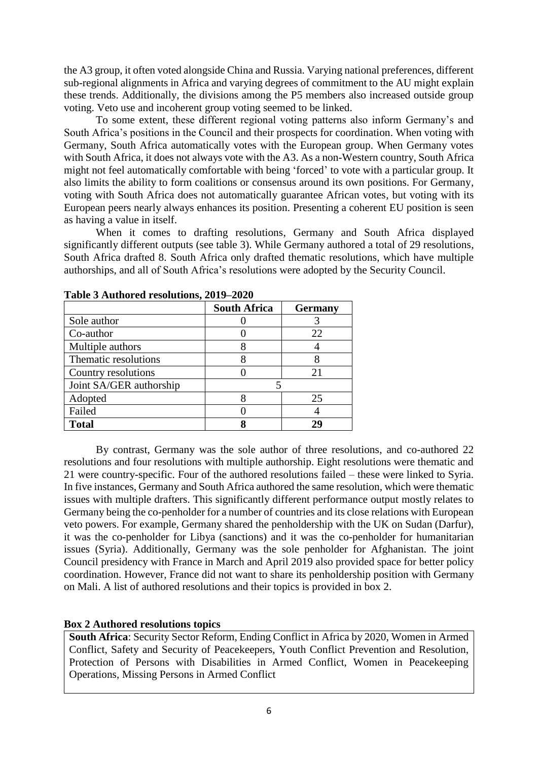the A3 group, it often voted alongside China and Russia. Varying national preferences, different sub-regional alignments in Africa and varying degrees of commitment to the AU might explain these trends. Additionally, the divisions among the P5 members also increased outside group voting. Veto use and incoherent group voting seemed to be linked.

To some extent, these different regional voting patterns also inform Germany's and South Africa's positions in the Council and their prospects for coordination. When voting with Germany, South Africa automatically votes with the European group. When Germany votes with South Africa, it does not always vote with the A3. As a non-Western country, South Africa might not feel automatically comfortable with being 'forced' to vote with a particular group. It also limits the ability to form coalitions or consensus around its own positions. For Germany, voting with South Africa does not automatically guarantee African votes, but voting with its European peers nearly always enhances its position. Presenting a coherent EU position is seen as having a value in itself.

When it comes to drafting resolutions, Germany and South Africa displayed significantly different outputs (see table 3). While Germany authored a total of 29 resolutions, South Africa drafted 8. South Africa only drafted thematic resolutions, which have multiple authorships, and all of South Africa's resolutions were adopted by the Security Council.

|                         | <b>South Africa</b> | <b>Germany</b> |  |
|-------------------------|---------------------|----------------|--|
| Sole author             |                     |                |  |
| Co-author               |                     | 22             |  |
| Multiple authors        |                     |                |  |
| Thematic resolutions    |                     |                |  |
| Country resolutions     |                     | 21             |  |
| Joint SA/GER authorship |                     |                |  |
| Adopted                 |                     | 25             |  |
| Failed                  |                     |                |  |
| <b>Total</b>            |                     |                |  |

**Table 3 Authored resolutions, 2019–2020**

By contrast, Germany was the sole author of three resolutions, and co-authored 22 resolutions and four resolutions with multiple authorship. Eight resolutions were thematic and 21 were country-specific. Four of the authored resolutions failed – these were linked to Syria. In five instances, Germany and South Africa authored the same resolution, which were thematic issues with multiple drafters. This significantly different performance output mostly relates to Germany being the co-penholder for a number of countries and its close relations with European veto powers. For example, Germany shared the penholdership with the UK on Sudan (Darfur), it was the co-penholder for Libya (sanctions) and it was the co-penholder for humanitarian issues (Syria). Additionally, Germany was the sole penholder for Afghanistan. The joint Council presidency with France in March and April 2019 also provided space for better policy coordination. However, France did not want to share its penholdership position with Germany on Mali. A list of authored resolutions and their topics is provided in box 2.

# **Box 2 Authored resolutions topics**

**South Africa**: Security Sector Reform, Ending Conflict in Africa by 2020, Women in Armed Conflict, Safety and Security of Peacekeepers, Youth Conflict Prevention and Resolution, Protection of Persons with Disabilities in Armed Conflict, Women in Peacekeeping Operations, Missing Persons in Armed Conflict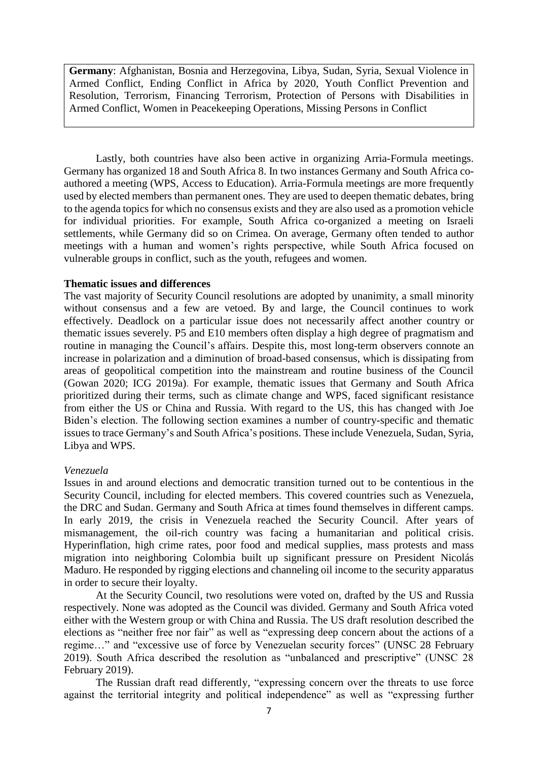**Germany**: Afghanistan, Bosnia and Herzegovina, Libya, Sudan, Syria, Sexual Violence in Armed Conflict, Ending Conflict in Africa by 2020, Youth Conflict Prevention and Resolution, Terrorism, Financing Terrorism, Protection of Persons with Disabilities in Armed Conflict, Women in Peacekeeping Operations, Missing Persons in Conflict

Lastly, both countries have also been active in organizing Arria-Formula meetings. Germany has organized 18 and South Africa 8. In two instances Germany and South Africa coauthored a meeting (WPS, Access to Education). Arria-Formula meetings are more frequently used by elected members than permanent ones. They are used to deepen thematic debates, bring to the agenda topics for which no consensus exists and they are also used as a promotion vehicle for individual priorities. For example, South Africa co-organized a meeting on Israeli settlements, while Germany did so on Crimea. On average, Germany often tended to author meetings with a human and women's rights perspective, while South Africa focused on vulnerable groups in conflict, such as the youth, refugees and women.

## **Thematic issues and differences**

The vast majority of Security Council resolutions are adopted by unanimity, a small minority without consensus and a few are vetoed. By and large, the Council continues to work effectively. Deadlock on a particular issue does not necessarily affect another country or thematic issues severely. P5 and E10 members often display a high degree of pragmatism and routine in managing the Council's affairs. Despite this, most long-term observers connote an increase in polarization and a diminution of broad-based consensus, which is dissipating from areas of geopolitical competition into the mainstream and routine business of the Council (Gowan 2020; ICG 2019a). For example, thematic issues that Germany and South Africa prioritized during their terms, such as climate change and WPS, faced significant resistance from either the US or China and Russia. With regard to the US, this has changed with Joe Biden's election. The following section examines a number of country-specific and thematic issues to trace Germany's and South Africa's positions. These include Venezuela, Sudan, Syria, Libya and WPS.

## *Venezuela*

Issues in and around elections and democratic transition turned out to be contentious in the Security Council, including for elected members. This covered countries such as Venezuela, the DRC and Sudan. Germany and South Africa at times found themselves in different camps. In early 2019, the crisis in Venezuela reached the Security Council. After years of mismanagement, the oil-rich country was facing a humanitarian and political crisis. Hyperinflation, high crime rates, poor food and medical supplies, mass protests and mass migration into neighboring Colombia built up significant pressure on President Nicolás Maduro. He responded by rigging elections and channeling oil income to the security apparatus in order to secure their loyalty.

At the Security Council, two resolutions were voted on, drafted by the US and Russia respectively. None was adopted as the Council was divided. Germany and South Africa voted either with the Western group or with China and Russia. The US draft resolution described the elections as "neither free nor fair" as well as "expressing deep concern about the actions of a regime…" and "excessive use of force by Venezuelan security forces" (UNSC 28 February 2019). South Africa described the resolution as "unbalanced and prescriptive" (UNSC 28 February 2019).

The Russian draft read differently, "expressing concern over the threats to use force against the territorial integrity and political independence" as well as "expressing further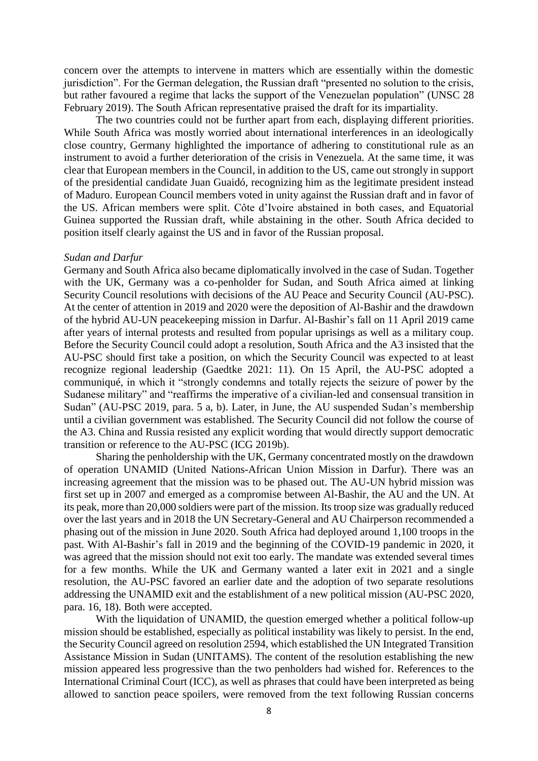concern over the attempts to intervene in matters which are essentially within the domestic jurisdiction". For the German delegation, the Russian draft "presented no solution to the crisis, but rather favoured a regime that lacks the support of the Venezuelan population" (UNSC 28 February 2019). The South African representative praised the draft for its impartiality.

The two countries could not be further apart from each, displaying different priorities. While South Africa was mostly worried about international interferences in an ideologically close country, Germany highlighted the importance of adhering to constitutional rule as an instrument to avoid a further deterioration of the crisis in Venezuela. At the same time, it was clear that European members in the Council, in addition to the US, came out strongly in support of the presidential candidate Juan Guaidó, recognizing him as the legitimate president instead of Maduro. European Council members voted in unity against the Russian draft and in favor of the US. African members were split. Côte d'Ivoire abstained in both cases, and Equatorial Guinea supported the Russian draft, while abstaining in the other. South Africa decided to position itself clearly against the US and in favor of the Russian proposal.

#### *Sudan and Darfur*

Germany and South Africa also became diplomatically involved in the case of Sudan. Together with the UK, Germany was a co-penholder for Sudan, and South Africa aimed at linking Security Council resolutions with decisions of the AU Peace and Security Council (AU-PSC). At the center of attention in 2019 and 2020 were the deposition of Al-Bashir and the drawdown of the hybrid AU-UN peacekeeping mission in Darfur. Al-Bashir's fall on 11 April 2019 came after years of internal protests and resulted from popular uprisings as well as a military coup. Before the Security Council could adopt a resolution, South Africa and the A3 insisted that the AU-PSC should first take a position, on which the Security Council was expected to at least recognize regional leadership (Gaedtke 2021: 11). On 15 April, the AU-PSC adopted a communiqué, in which it "strongly condemns and totally rejects the seizure of power by the Sudanese military" and "reaffirms the imperative of a civilian-led and consensual transition in Sudan" (AU-PSC 2019, para. 5 a, b). Later, in June, the AU suspended Sudan's membership until a civilian government was established. The Security Council did not follow the course of the A3. China and Russia resisted any explicit wording that would directly support democratic transition or reference to the AU-PSC (ICG 2019b).

Sharing the penholdership with the UK, Germany concentrated mostly on the drawdown of operation UNAMID (United Nations-African Union Mission in Darfur). There was an increasing agreement that the mission was to be phased out. The AU-UN hybrid mission was first set up in 2007 and emerged as a compromise between Al-Bashir, the AU and the UN. At its peak, more than 20,000 soldiers were part of the mission. Its troop size was gradually reduced over the last years and in 2018 the UN Secretary-General and AU Chairperson recommended a phasing out of the mission in June 2020. South Africa had deployed around 1,100 troops in the past. With Al-Bashir's fall in 2019 and the beginning of the COVID-19 pandemic in 2020, it was agreed that the mission should not exit too early. The mandate was extended several times for a few months. While the UK and Germany wanted a later exit in 2021 and a single resolution, the AU-PSC favored an earlier date and the adoption of two separate resolutions addressing the UNAMID exit and the establishment of a new political mission (AU-PSC 2020, para. 16, 18). Both were accepted.

With the liquidation of UNAMID, the question emerged whether a political follow-up mission should be established, especially as political instability was likely to persist. In the end, the Security Council agreed on resolution 2594, which established the UN Integrated Transition Assistance Mission in Sudan (UNITAMS). The content of the resolution establishing the new mission appeared less progressive than the two penholders had wished for. References to the International Criminal Court (ICC), as well as phrases that could have been interpreted as being allowed to sanction peace spoilers, were removed from the text following Russian concerns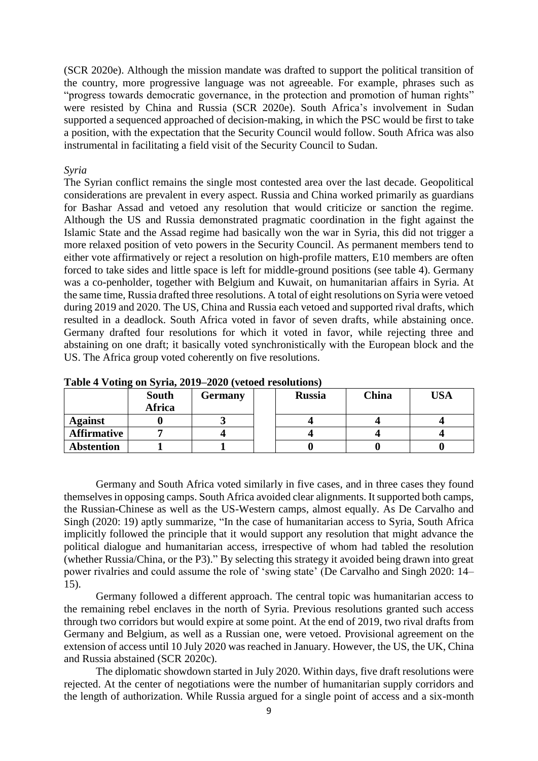(SCR 2020e). Although the mission mandate was drafted to support the political transition of the country, more progressive language was not agreeable. For example, phrases such as "progress towards democratic governance, in the protection and promotion of human rights" were resisted by China and Russia (SCR 2020e). South Africa's involvement in Sudan supported a sequenced approached of decision-making, in which the PSC would be first to take a position, with the expectation that the Security Council would follow. South Africa was also instrumental in facilitating a field visit of the Security Council to Sudan.

## *Syria*

The Syrian conflict remains the single most contested area over the last decade. Geopolitical considerations are prevalent in every aspect. Russia and China worked primarily as guardians for Bashar Assad and vetoed any resolution that would criticize or sanction the regime. Although the US and Russia demonstrated pragmatic coordination in the fight against the Islamic State and the Assad regime had basically won the war in Syria, this did not trigger a more relaxed position of veto powers in the Security Council. As permanent members tend to either vote affirmatively or reject a resolution on high-profile matters, E10 members are often forced to take sides and little space is left for middle-ground positions (see table 4). Germany was a co-penholder, together with Belgium and Kuwait, on humanitarian affairs in Syria. At the same time, Russia drafted three resolutions. A total of eight resolutions on Syria were vetoed during 2019 and 2020. The US, China and Russia each vetoed and supported rival drafts, which resulted in a deadlock. South Africa voted in favor of seven drafts, while abstaining once. Germany drafted four resolutions for which it voted in favor, while rejecting three and abstaining on one draft; it basically voted synchronistically with the European block and the US. The Africa group voted coherently on five resolutions.

|                    | <b>South</b><br>Africa | Germany | <b>Russia</b> | <b>China</b> | USA |
|--------------------|------------------------|---------|---------------|--------------|-----|
| <b>Against</b>     |                        |         |               |              |     |
| <b>Affirmative</b> |                        |         |               |              |     |
| <b>Abstention</b>  |                        |         |               |              |     |

**Table 4 Voting on Syria, 2019–2020 (vetoed resolutions)**

Germany and South Africa voted similarly in five cases, and in three cases they found themselves in opposing camps. South Africa avoided clear alignments. It supported both camps, the Russian-Chinese as well as the US-Western camps, almost equally. As De Carvalho and Singh (2020: 19) aptly summarize, "In the case of humanitarian access to Syria, South Africa implicitly followed the principle that it would support any resolution that might advance the political dialogue and humanitarian access, irrespective of whom had tabled the resolution (whether Russia/China, or the P3)." By selecting this strategy it avoided being drawn into great power rivalries and could assume the role of 'swing state' (De Carvalho and Singh 2020: 14– 15).

Germany followed a different approach. The central topic was humanitarian access to the remaining rebel enclaves in the north of Syria. Previous resolutions granted such access through two corridors but would expire at some point. At the end of 2019, two rival drafts from Germany and Belgium, as well as a Russian one, were vetoed. Provisional agreement on the extension of access until 10 July 2020 was reached in January. However, the US, the UK, China and Russia abstained (SCR 2020c).

The diplomatic showdown started in July 2020. Within days, five draft resolutions were rejected. At the center of negotiations were the number of humanitarian supply corridors and the length of authorization. While Russia argued for a single point of access and a six-month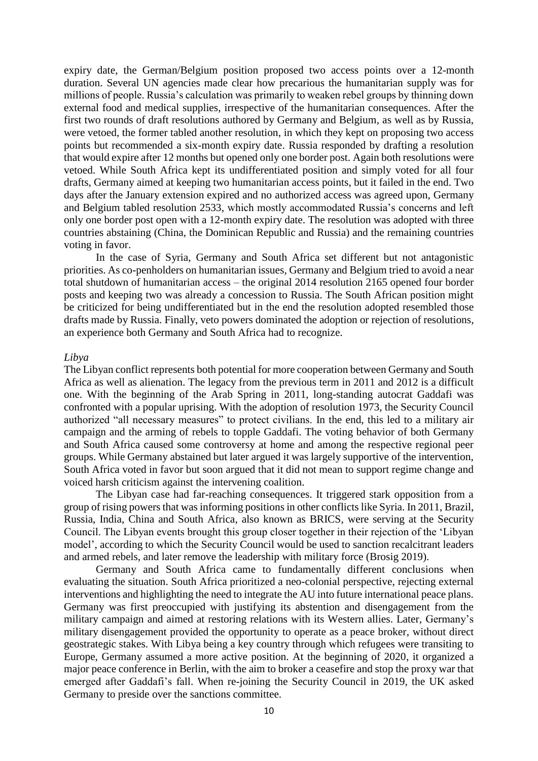expiry date, the German/Belgium position proposed two access points over a 12-month duration. Several UN agencies made clear how precarious the humanitarian supply was for millions of people. Russia's calculation was primarily to weaken rebel groups by thinning down external food and medical supplies, irrespective of the humanitarian consequences. After the first two rounds of draft resolutions authored by Germany and Belgium, as well as by Russia, were vetoed, the former tabled another resolution, in which they kept on proposing two access points but recommended a six-month expiry date. Russia responded by drafting a resolution that would expire after 12 months but opened only one border post. Again both resolutions were vetoed. While South Africa kept its undifferentiated position and simply voted for all four drafts, Germany aimed at keeping two humanitarian access points, but it failed in the end. Two days after the January extension expired and no authorized access was agreed upon, Germany and Belgium tabled resolution 2533, which mostly accommodated Russia's concerns and left only one border post open with a 12-month expiry date. The resolution was adopted with three countries abstaining (China, the Dominican Republic and Russia) and the remaining countries voting in favor.

In the case of Syria, Germany and South Africa set different but not antagonistic priorities. As co-penholders on humanitarian issues, Germany and Belgium tried to avoid a near total shutdown of humanitarian access – the original 2014 resolution 2165 opened four border posts and keeping two was already a concession to Russia. The South African position might be criticized for being undifferentiated but in the end the resolution adopted resembled those drafts made by Russia. Finally, veto powers dominated the adoption or rejection of resolutions, an experience both Germany and South Africa had to recognize.

#### *Libya*

The Libyan conflict represents both potential for more cooperation between Germany and South Africa as well as alienation. The legacy from the previous term in 2011 and 2012 is a difficult one. With the beginning of the Arab Spring in 2011, long-standing autocrat Gaddafi was confronted with a popular uprising. With the adoption of resolution 1973, the Security Council authorized "all necessary measures" to protect civilians. In the end, this led to a military air campaign and the arming of rebels to topple Gaddafi. The voting behavior of both Germany and South Africa caused some controversy at home and among the respective regional peer groups. While Germany abstained but later argued it was largely supportive of the intervention, South Africa voted in favor but soon argued that it did not mean to support regime change and voiced harsh criticism against the intervening coalition.

The Libyan case had far-reaching consequences. It triggered stark opposition from a group of rising powers that wasinforming positions in other conflicts like Syria. In 2011, Brazil, Russia, India, China and South Africa, also known as BRICS, were serving at the Security Council. The Libyan events brought this group closer together in their rejection of the 'Libyan model', according to which the Security Council would be used to sanction recalcitrant leaders and armed rebels, and later remove the leadership with military force (Brosig 2019).

Germany and South Africa came to fundamentally different conclusions when evaluating the situation. South Africa prioritized a neo-colonial perspective, rejecting external interventions and highlighting the need to integrate the AU into future international peace plans. Germany was first preoccupied with justifying its abstention and disengagement from the military campaign and aimed at restoring relations with its Western allies. Later, Germany's military disengagement provided the opportunity to operate as a peace broker, without direct geostrategic stakes. With Libya being a key country through which refugees were transiting to Europe, Germany assumed a more active position. At the beginning of 2020, it organized a major peace conference in Berlin, with the aim to broker a ceasefire and stop the proxy war that emerged after Gaddafi's fall. When re-joining the Security Council in 2019, the UK asked Germany to preside over the sanctions committee.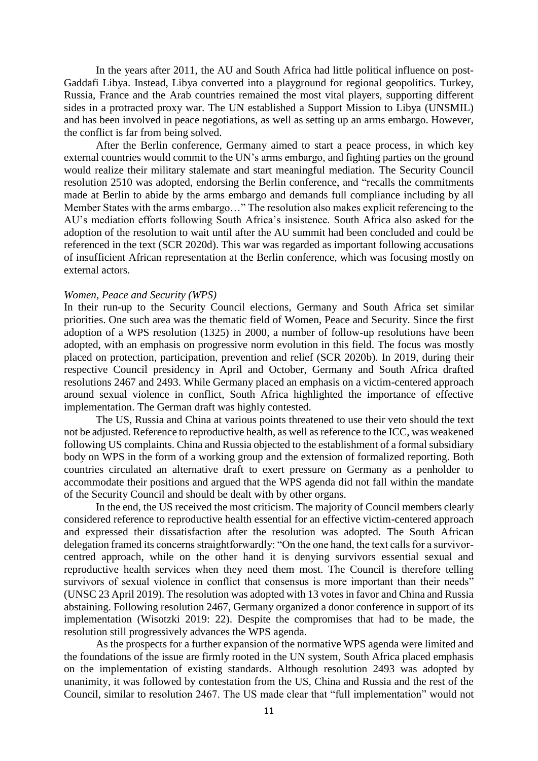In the years after 2011, the AU and South Africa had little political influence on post-Gaddafi Libya. Instead, Libya converted into a playground for regional geopolitics. Turkey, Russia, France and the Arab countries remained the most vital players, supporting different sides in a protracted proxy war. The UN established a Support Mission to Libya (UNSMIL) and has been involved in peace negotiations, as well as setting up an arms embargo. However, the conflict is far from being solved.

After the Berlin conference, Germany aimed to start a peace process, in which key external countries would commit to the UN's arms embargo, and fighting parties on the ground would realize their military stalemate and start meaningful mediation. The Security Council resolution 2510 was adopted, endorsing the Berlin conference, and "recalls the commitments made at Berlin to abide by the arms embargo and demands full compliance including by all Member States with the arms embargo…" The resolution also makes explicit referencing to the AU's mediation efforts following South Africa's insistence. South Africa also asked for the adoption of the resolution to wait until after the AU summit had been concluded and could be referenced in the text (SCR 2020d). This war was regarded as important following accusations of insufficient African representation at the Berlin conference, which was focusing mostly on external actors.

#### *Women, Peace and Security (WPS)*

In their run-up to the Security Council elections, Germany and South Africa set similar priorities. One such area was the thematic field of Women, Peace and Security. Since the first adoption of a WPS resolution (1325) in 2000, a number of follow-up resolutions have been adopted, with an emphasis on progressive norm evolution in this field. The focus was mostly placed on protection, participation, prevention and relief (SCR 2020b). In 2019, during their respective Council presidency in April and October, Germany and South Africa drafted resolutions 2467 and 2493. While Germany placed an emphasis on a victim-centered approach around sexual violence in conflict, South Africa highlighted the importance of effective implementation. The German draft was highly contested.

The US, Russia and China at various points threatened to use their veto should the text not be adjusted. Reference to reproductive health, as well as reference to the ICC, was weakened following US complaints. China and Russia objected to the establishment of a formal subsidiary body on WPS in the form of a working group and the extension of formalized reporting. Both countries circulated an alternative draft to exert pressure on Germany as a penholder to accommodate their positions and argued that the WPS agenda did not fall within the mandate of the Security Council and should be dealt with by other organs.

In the end, the US received the most criticism. The majority of Council members clearly considered reference to reproductive health essential for an effective victim-centered approach and expressed their dissatisfaction after the resolution was adopted. The South African delegation framed its concerns straightforwardly: "On the one hand, the text calls for a survivorcentred approach, while on the other hand it is denying survivors essential sexual and reproductive health services when they need them most. The Council is therefore telling survivors of sexual violence in conflict that consensus is more important than their needs" (UNSC 23 April 2019). The resolution was adopted with 13 votes in favor and China and Russia abstaining. Following resolution 2467, Germany organized a donor conference in support of its implementation (Wisotzki 2019: 22). Despite the compromises that had to be made, the resolution still progressively advances the WPS agenda.

As the prospects for a further expansion of the normative WPS agenda were limited and the foundations of the issue are firmly rooted in the UN system, South Africa placed emphasis on the implementation of existing standards. Although resolution 2493 was adopted by unanimity, it was followed by contestation from the US, China and Russia and the rest of the Council, similar to resolution 2467. The US made clear that "full implementation" would not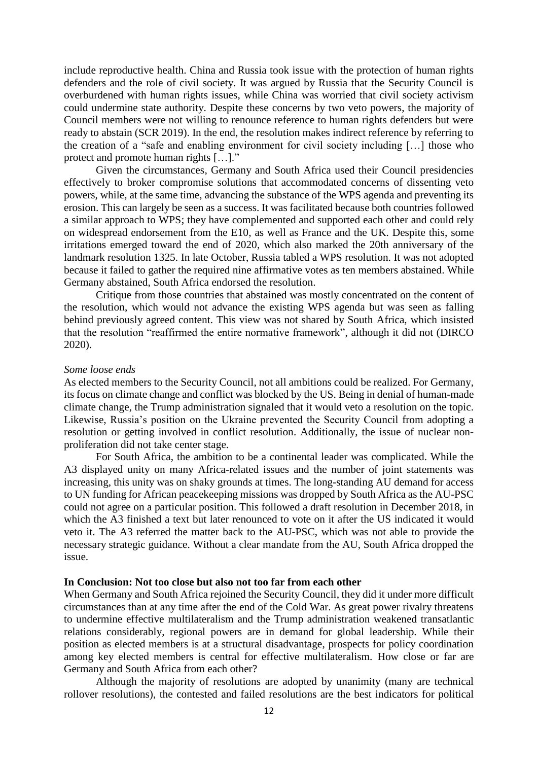include reproductive health. China and Russia took issue with the protection of human rights defenders and the role of civil society. It was argued by Russia that the Security Council is overburdened with human rights issues, while China was worried that civil society activism could undermine state authority. Despite these concerns by two veto powers, the majority of Council members were not willing to renounce reference to human rights defenders but were ready to abstain (SCR 2019). In the end, the resolution makes indirect reference by referring to the creation of a "safe and enabling environment for civil society including […] those who protect and promote human rights […]."

Given the circumstances, Germany and South Africa used their Council presidencies effectively to broker compromise solutions that accommodated concerns of dissenting veto powers, while, at the same time, advancing the substance of the WPS agenda and preventing its erosion. This can largely be seen as a success. It was facilitated because both countries followed a similar approach to WPS; they have complemented and supported each other and could rely on widespread endorsement from the E10, as well as France and the UK. Despite this, some irritations emerged toward the end of 2020, which also marked the 20th anniversary of the landmark resolution 1325. In late October, Russia tabled a WPS resolution. It was not adopted because it failed to gather the required nine affirmative votes as ten members abstained. While Germany abstained, South Africa endorsed the resolution.

Critique from those countries that abstained was mostly concentrated on the content of the resolution, which would not advance the existing WPS agenda but was seen as falling behind previously agreed content. This view was not shared by South Africa, which insisted that the resolution "reaffirmed the entire normative framework", although it did not (DIRCO 2020).

#### *Some loose ends*

As elected members to the Security Council, not all ambitions could be realized. For Germany, its focus on climate change and conflict was blocked by the US. Being in denial of human-made climate change, the Trump administration signaled that it would veto a resolution on the topic. Likewise, Russia's position on the Ukraine prevented the Security Council from adopting a resolution or getting involved in conflict resolution. Additionally, the issue of nuclear nonproliferation did not take center stage.

For South Africa, the ambition to be a continental leader was complicated. While the A3 displayed unity on many Africa-related issues and the number of joint statements was increasing, this unity was on shaky grounds at times. The long-standing AU demand for access to UN funding for African peacekeeping missions was dropped by South Africa as the AU-PSC could not agree on a particular position. This followed a draft resolution in December 2018, in which the A3 finished a text but later renounced to vote on it after the US indicated it would veto it. The A3 referred the matter back to the AU-PSC, which was not able to provide the necessary strategic guidance. Without a clear mandate from the AU, South Africa dropped the issue.

#### **In Conclusion: Not too close but also not too far from each other**

When Germany and South Africa rejoined the Security Council, they did it under more difficult circumstances than at any time after the end of the Cold War. As great power rivalry threatens to undermine effective multilateralism and the Trump administration weakened transatlantic relations considerably, regional powers are in demand for global leadership. While their position as elected members is at a structural disadvantage, prospects for policy coordination among key elected members is central for effective multilateralism. How close or far are Germany and South Africa from each other?

Although the majority of resolutions are adopted by unanimity (many are technical rollover resolutions), the contested and failed resolutions are the best indicators for political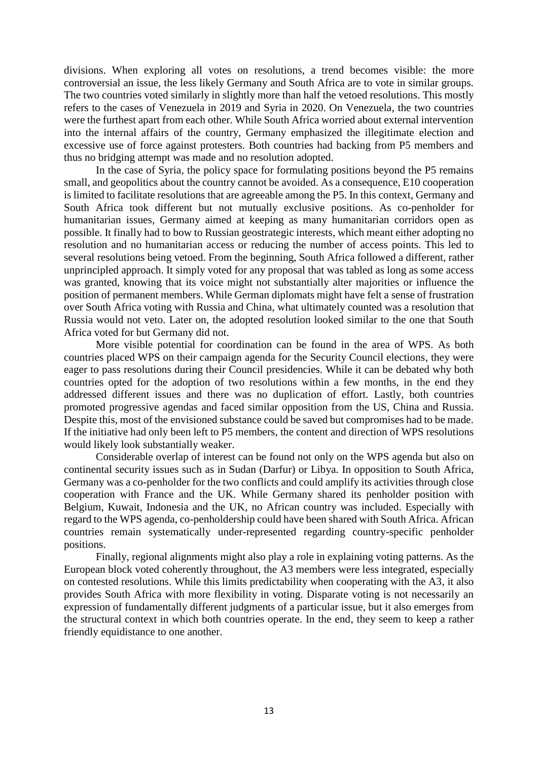divisions. When exploring all votes on resolutions, a trend becomes visible: the more controversial an issue, the less likely Germany and South Africa are to vote in similar groups. The two countries voted similarly in slightly more than half the vetoed resolutions. This mostly refers to the cases of Venezuela in 2019 and Syria in 2020. On Venezuela, the two countries were the furthest apart from each other. While South Africa worried about external intervention into the internal affairs of the country, Germany emphasized the illegitimate election and excessive use of force against protesters. Both countries had backing from P5 members and thus no bridging attempt was made and no resolution adopted.

In the case of Syria, the policy space for formulating positions beyond the P5 remains small, and geopolitics about the country cannot be avoided. As a consequence, E10 cooperation is limited to facilitate resolutions that are agreeable among the P5. In this context, Germany and South Africa took different but not mutually exclusive positions. As co-penholder for humanitarian issues, Germany aimed at keeping as many humanitarian corridors open as possible. It finally had to bow to Russian geostrategic interests, which meant either adopting no resolution and no humanitarian access or reducing the number of access points. This led to several resolutions being vetoed. From the beginning, South Africa followed a different, rather unprincipled approach. It simply voted for any proposal that was tabled as long as some access was granted, knowing that its voice might not substantially alter majorities or influence the position of permanent members. While German diplomats might have felt a sense of frustration over South Africa voting with Russia and China, what ultimately counted was a resolution that Russia would not veto. Later on, the adopted resolution looked similar to the one that South Africa voted for but Germany did not.

More visible potential for coordination can be found in the area of WPS. As both countries placed WPS on their campaign agenda for the Security Council elections, they were eager to pass resolutions during their Council presidencies. While it can be debated why both countries opted for the adoption of two resolutions within a few months, in the end they addressed different issues and there was no duplication of effort. Lastly, both countries promoted progressive agendas and faced similar opposition from the US, China and Russia. Despite this, most of the envisioned substance could be saved but compromises had to be made. If the initiative had only been left to P5 members, the content and direction of WPS resolutions would likely look substantially weaker.

Considerable overlap of interest can be found not only on the WPS agenda but also on continental security issues such as in Sudan (Darfur) or Libya. In opposition to South Africa, Germany was a co-penholder for the two conflicts and could amplify its activities through close cooperation with France and the UK. While Germany shared its penholder position with Belgium, Kuwait, Indonesia and the UK, no African country was included. Especially with regard to the WPS agenda, co-penholdership could have been shared with South Africa. African countries remain systematically under-represented regarding country-specific penholder positions.

Finally, regional alignments might also play a role in explaining voting patterns. As the European block voted coherently throughout, the A3 members were less integrated, especially on contested resolutions. While this limits predictability when cooperating with the A3, it also provides South Africa with more flexibility in voting. Disparate voting is not necessarily an expression of fundamentally different judgments of a particular issue, but it also emerges from the structural context in which both countries operate. In the end, they seem to keep a rather friendly equidistance to one another.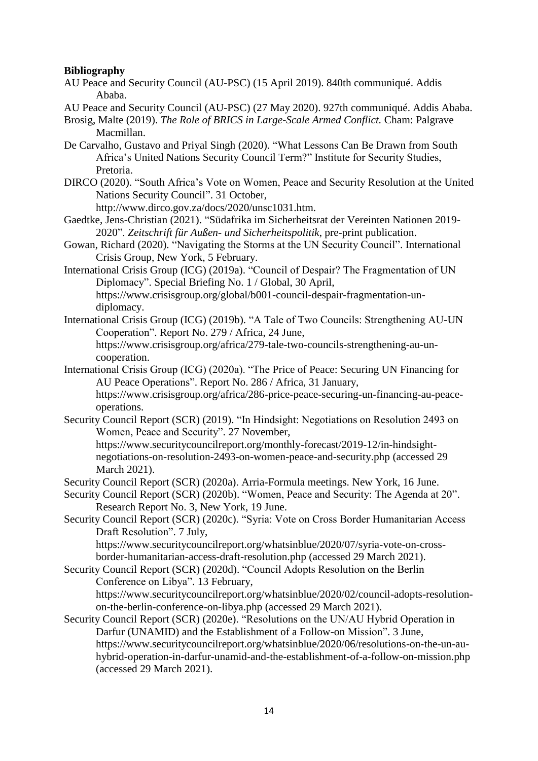# **Bibliography**

- AU Peace and Security Council (AU-PSC) (15 April 2019). 840th communiqué. Addis Ababa.
- AU Peace and Security Council (AU-PSC) (27 May 2020). 927th communiqué. Addis Ababa.
- Brosig, Malte (2019). *The Role of BRICS in Large-Scale Armed Conflict.* Cham: Palgrave Macmillan.
- De Carvalho, Gustavo and Priyal Singh (2020). "What Lessons Can Be Drawn from South Africa's United Nations Security Council Term?" Institute for Security Studies, Pretoria.
- DIRCO (2020). "South Africa's Vote on Women, Peace and Security Resolution at the United Nations Security Council". 31 October,

http://www.dirco.gov.za/docs/2020/unsc1031.htm.

- Gaedtke, Jens-Christian (2021). "Südafrika im Sicherheitsrat der Vereinten Nationen 2019- 2020". *Zeitschrift für Außen- und Sicherheitspolitik*, pre-print publication.
- Gowan, Richard (2020). "Navigating the Storms at the UN Security Council". International Crisis Group, New York, 5 February.
- International Crisis Group (ICG) (2019a). "Council of Despair? The Fragmentation of UN Diplomacy". Special Briefing No. 1 / Global, 30 April, https://www.crisisgroup.org/global/b001-council-despair-fragmentation-undiplomacy.
- International Crisis Group (ICG) (2019b). "A Tale of Two Councils: Strengthening AU-UN Cooperation". Report No. 279 / Africa, 24 June, https://www.crisisgroup.org/africa/279-tale-two-councils-strengthening-au-uncooperation.
- International Crisis Group (ICG) (2020a). "The Price of Peace: Securing UN Financing for AU Peace Operations". Report No. 286 / Africa, 31 January, [https://www.crisisgroup.org/africa/286-price-peace-securing-un-financing-au-peace](https://www.crisisgroup.org/africa/286-price-peace-securing-un-financing-au-peace-operations)[operations.](https://www.crisisgroup.org/africa/286-price-peace-securing-un-financing-au-peace-operations)
- Security Council Report (SCR) (2019). "In Hindsight: Negotiations on Resolution 2493 on Women, Peace and Security". 27 November,

https://www.securitycouncilreport.org/monthly-forecast/2019-12/in-hindsightnegotiations-on-resolution-2493-on-women-peace-and-security.php (accessed 29 March 2021).

- Security Council Report (SCR) (2020a). Arria-Formula meetings. New York, 16 June.
- Security Council Report (SCR) (2020b). "Women, Peace and Security: The Agenda at 20". Research Report No. 3, New York, 19 June.
- Security Council Report (SCR) (2020c). "Syria: Vote on Cross Border Humanitarian Access Draft Resolution". 7 July,

https://www.securitycouncilreport.org/whatsinblue/2020/07/syria-vote-on-crossborder-humanitarian-access-draft-resolution.php (accessed 29 March 2021).

Security Council Report (SCR) (2020d). "Council Adopts Resolution on the Berlin Conference on Libya". 13 February,

https://www.securitycouncilreport.org/whatsinblue/2020/02/council-adopts-resolutionon-the-berlin-conference-on-libya.php (accessed 29 March 2021).

Security Council Report (SCR) (2020e). "Resolutions on the UN/AU Hybrid Operation in Darfur (UNAMID) and the Establishment of a Follow-on Mission". 3 June, https://www.securitycouncilreport.org/whatsinblue/2020/06/resolutions-on-the-un-auhybrid-operation-in-darfur-unamid-and-the-establishment-of-a-follow-on-mission.php (accessed 29 March 2021).